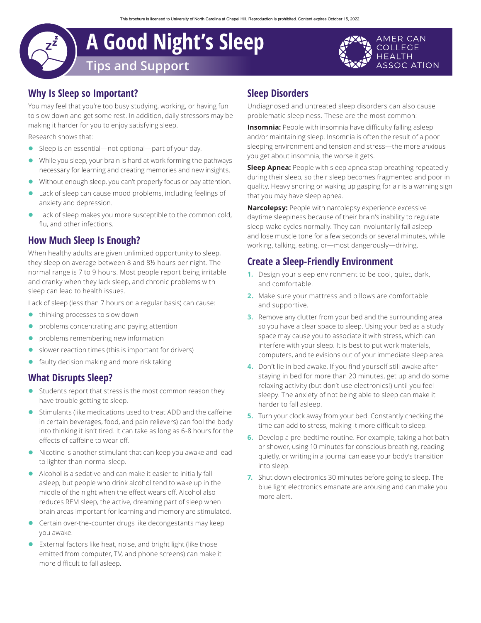# **A Good Night's Sleep Tips and Support**



## **Why Is Sleep so Important?**

You may feel that you're too busy studying, working, or having fun to slow down and get some rest. In addition, daily stressors may be making it harder for you to enjoy satisfying sleep.

Research shows that:

- Sleep is an essential—not optional—part of your day.
- While you sleep, your brain is hard at work forming the pathways necessary for learning and creating memories and new insights.
- Without enough sleep, you can't properly focus or pay attention.
- Lack of sleep can cause mood problems, including feelings of anxiety and depression.
- Lack of sleep makes you more susceptible to the common cold, flu, and other infections.

### **How Much Sleep Is Enough?**

When healthy adults are given unlimited opportunity to sleep, they sleep on average between 8 and 8½ hours per night. The normal range is 7 to 9 hours. Most people report being irritable and cranky when they lack sleep, and chronic problems with sleep can lead to health issues.

Lack of sleep (less than 7 hours on a regular basis) can cause:

- thinking processes to slow down
- problems concentrating and paying attention
- problems remembering new information
- slower reaction times (this is important for drivers)
- faulty decision making and more risk taking

#### **What Disrupts Sleep?**

- $\bullet$  Students report that stress is the most common reason they have trouble getting to sleep.
- **Stimulants (like medications used to treat ADD and the caffeine** in certain beverages, food, and pain relievers) can fool the body into thinking it isn't tired. It can take as long as 6-8 hours for the effects of caffeine to wear off.
- $\bullet$  Nicotine is another stimulant that can keep you awake and lead to lighter-than-normal sleep.
- Alcohol is a sedative and can make it easier to initially fall asleep, but people who drink alcohol tend to wake up in the middle of the night when the effect wears off. Alcohol also reduces REM sleep, the active, dreaming part of sleep when brain areas important for learning and memory are stimulated.
- Certain over-the-counter drugs like decongestants may keep you awake.
- **•** External factors like heat, noise, and bright light (like those emitted from computer, TV, and phone screens) can make it more difficult to fall asleep.

## **Sleep Disorders**

Undiagnosed and untreated sleep disorders can also cause problematic sleepiness. These are the most common:

**Insomnia:** People with insomnia have difficulty falling asleep and/or maintaining sleep. Insomnia is often the result of a poor sleeping environment and tension and stress—the more anxious you get about insomnia, the worse it gets.

**Sleep Apnea:** People with sleep apnea stop breathing repeatedly during their sleep, so their sleep becomes fragmented and poor in quality. Heavy snoring or waking up gasping for air is a warning sign that you may have sleep apnea.

**Narcolepsy:** People with narcolepsy experience excessive daytime sleepiness because of their brain's inability to regulate sleep-wake cycles normally. They can involuntarily fall asleep and lose muscle tone for a few seconds or several minutes, while working, talking, eating, or—most dangerously—driving.

### **Create a Sleep-Friendly Environment**

- **1.** Design your sleep environment to be cool, quiet, dark, and comfortable.
- **2.** Make sure your mattress and pillows are comfortable and supportive.
- **3.** Remove any clutter from your bed and the surrounding area so you have a clear space to sleep. Using your bed as a study space may cause you to associate it with stress, which can interfere with your sleep. It is best to put work materials, computers, and televisions out of your immediate sleep area.
- **4.** Don't lie in bed awake. If you find yourself still awake after staying in bed for more than 20 minutes, get up and do some relaxing activity (but don't use electronics!) until you feel sleepy. The anxiety of not being able to sleep can make it harder to fall asleep.
- **5.** Turn your clock away from your bed. Constantly checking the time can add to stress, making it more difficult to sleep.
- **6.** Develop a pre-bedtime routine. For example, taking a hot bath or shower, using 10 minutes for conscious breathing, reading quietly, or writing in a journal can ease your body's transition into sleep.
- **7.** Shut down electronics 30 minutes before going to sleep. The blue light electronics emanate are arousing and can make you more alert.